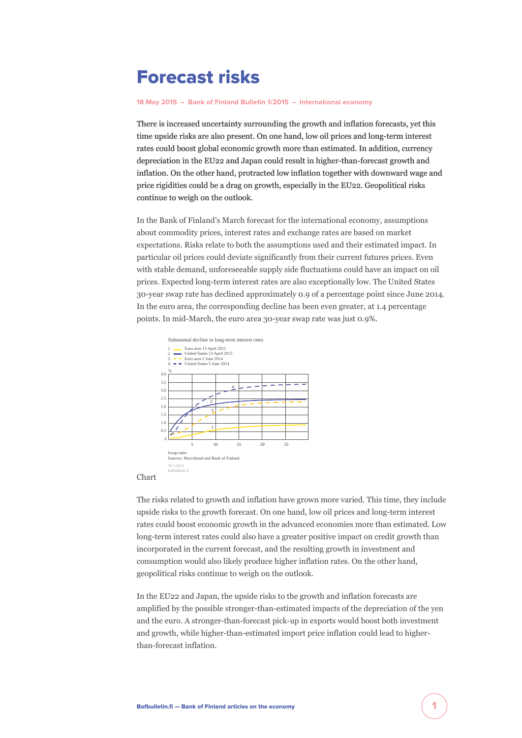## Forecast risks

**[18 May 2015](https://www.bofbulletin.fi/en/archive/?date=2015-05-18) – [Bank of Finland Bulletin 1/2015](https://www.bofbulletin.fi/en/archive/?issue=2015-1) – [International economy](https://www.bofbulletin.fi/en/international-economy/)**

There is increased uncertainty surrounding the growth and inflation forecasts, yet this time upside risks are also present. On one hand, low oil prices and long-term interest rates could boost global economic growth more than estimated. In addition, currency depreciation in the EU22 and Japan could result in higher-than-forecast growth and inflation. On the other hand, protracted low inflation together with downward wage and price rigidities could be a drag on growth, especially in the EU22. Geopolitical risks continue to weigh on the outlook.

In the Bank of Finland's March forecast for the international economy, assumptions about commodity prices, interest rates and exchange rates are based on market expectations. Risks relate to both the assumptions used and their estimated impact. In particular oil prices could deviate significantly from their current futures prices. Even with stable demand, unforeseeable supply side fluctuations could have an impact on oil prices. Expected long-term interest rates are also exceptionally low. The United States 30-year swap rate has declined approximately 0.9 of a percentage point since June 2014. In the euro area, the corresponding decline has been even greater, at 1.4 percentage points. In mid-March, the euro area 30-year swap rate was just 0.9%.



Chart

The risks related to growth and inflation have grown more varied. This time, they include upside risks to the growth forecast. On one hand, low oil prices and long-term interest rates could boost economic growth in the advanced economies more than estimated. Low long-term interest rates could also have a greater positive impact on credit growth than incorporated in the current forecast, and the resulting growth in investment and consumption would also likely produce higher inflation rates. On the other hand, geopolitical risks continue to weigh on the outlook.

In the EU22 and Japan, the upside risks to the growth and inflation forecasts are amplified by the possible stronger-than-estimated impacts of the depreciation of the yen and the euro. A stronger-than-forecast pick-up in exports would boost both investment and growth, while higher-than-estimated import price inflation could lead to higherthan-forecast inflation.